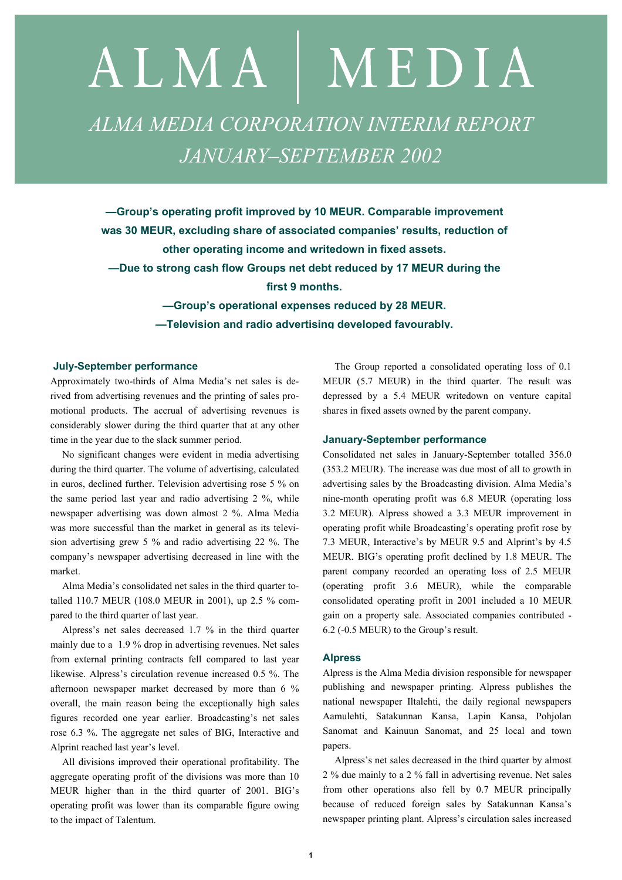# ALMA | MEDIA *ALMA MEDIA CORPORATION INTERIM REPORT JANUARY–SEPTEMBER 2002*

**—Group's operating profit improved by 10 MEUR. Comparable improvement was 30 MEUR, excluding share of associated companies' results, reduction of other operating income and writedown in fixed assets. —Due to strong cash flow Groups net debt reduced by 17 MEUR during the** 

**first 9 months.** 

**—Group's operational expenses reduced by 28 MEUR. —Television and radio advertising developed favourably.**

#### **July-September performance**

Approximately two-thirds of Alma Media's net sales is derived from advertising revenues and the printing of sales promotional products. The accrual of advertising revenues is considerably slower during the third quarter that at any other time in the year due to the slack summer period.

No significant changes were evident in media advertising during the third quarter. The volume of advertising, calculated in euros, declined further. Television advertising rose 5 % on the same period last year and radio advertising 2 %, while newspaper advertising was down almost 2 %. Alma Media was more successful than the market in general as its television advertising grew 5 % and radio advertising 22 %. The company's newspaper advertising decreased in line with the market.

Alma Media's consolidated net sales in the third quarter totalled 110.7 MEUR (108.0 MEUR in 2001), up 2.5 % compared to the third quarter of last year.

Alpress's net sales decreased 1.7 % in the third quarter mainly due to a 1.9 % drop in advertising revenues. Net sales from external printing contracts fell compared to last year likewise. Alpress's circulation revenue increased 0.5 %. The afternoon newspaper market decreased by more than 6 % overall, the main reason being the exceptionally high sales figures recorded one year earlier. Broadcasting's net sales rose 6.3 %. The aggregate net sales of BIG, Interactive and Alprint reached last year's level.

All divisions improved their operational profitability. The aggregate operating profit of the divisions was more than 10 MEUR higher than in the third quarter of 2001. BIG's operating profit was lower than its comparable figure owing to the impact of Talentum.

The Group reported a consolidated operating loss of 0.1 MEUR (5.7 MEUR) in the third quarter. The result was depressed by a 5.4 MEUR writedown on venture capital shares in fixed assets owned by the parent company.

#### **January-September performance**

Consolidated net sales in January-September totalled 356.0 (353.2 MEUR). The increase was due most of all to growth in advertising sales by the Broadcasting division. Alma Media's nine-month operating profit was 6.8 MEUR (operating loss 3.2 MEUR). Alpress showed a 3.3 MEUR improvement in operating profit while Broadcasting's operating profit rose by 7.3 MEUR, Interactive's by MEUR 9.5 and Alprint's by 4.5 MEUR. BIG's operating profit declined by 1.8 MEUR. The parent company recorded an operating loss of 2.5 MEUR (operating profit 3.6 MEUR), while the comparable consolidated operating profit in 2001 included a 10 MEUR gain on a property sale. Associated companies contributed - 6.2 (-0.5 MEUR) to the Group's result.

#### **Alpress**

Alpress is the Alma Media division responsible for newspaper publishing and newspaper printing. Alpress publishes the national newspaper Iltalehti, the daily regional newspapers Aamulehti, Satakunnan Kansa, Lapin Kansa, Pohjolan Sanomat and Kainuun Sanomat, and 25 local and town papers.

Alpress's net sales decreased in the third quarter by almost 2 % due mainly to a 2 % fall in advertising revenue. Net sales from other operations also fell by 0.7 MEUR principally because of reduced foreign sales by Satakunnan Kansa's newspaper printing plant. Alpress's circulation sales increased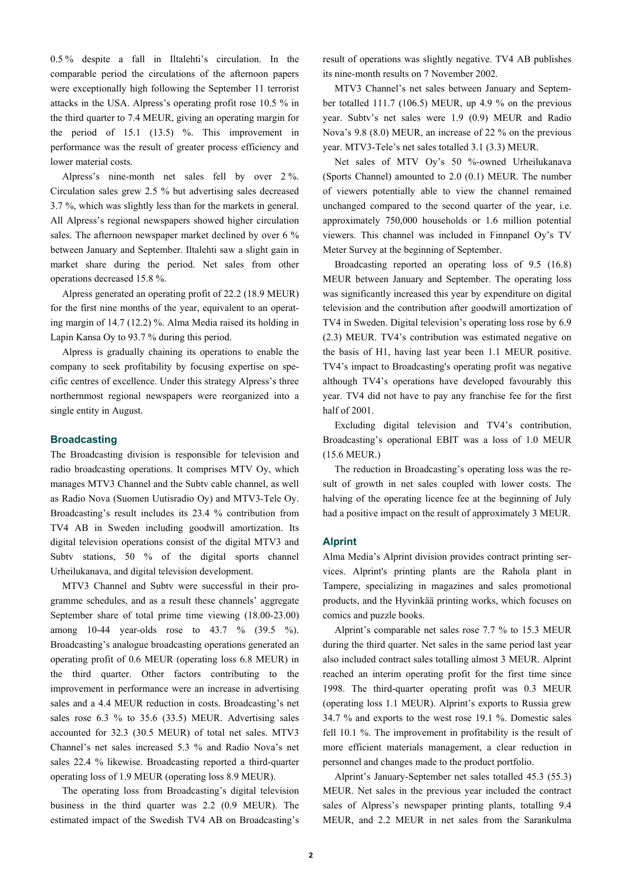0.5 % despite a fall in Iltalehti's circulation. In the comparable period the circulations of the afternoon papers were exceptionally high following the September 11 terrorist attacks in the USA. Alpress's operating profit rose 10.5 % in the third quarter to 7.4 MEUR, giving an operating margin for the period of 15.1 (13.5) %. This improvement in performance was the result of greater process efficiency and lower material costs.

Alpress's nine-month net sales fell by over 2 %. Circulation sales grew 2.5 % but advertising sales decreased 3.7 %, which was slightly less than for the markets in general. All Alpress's regional newspapers showed higher circulation sales. The afternoon newspaper market declined by over 6 % between January and September. Iltalehti saw a slight gain in market share during the period. Net sales from other operations decreased 15.8 %.

Alpress generated an operating profit of 22.2 (18.9 MEUR) for the first nine months of the year, equivalent to an operating margin of 14.7 (12.2) %. Alma Media raised its holding in Lapin Kansa Oy to 93.7 % during this period.

Alpress is gradually chaining its operations to enable the company to seek profitability by focusing expertise on specific centres of excellence. Under this strategy Alpress's three northernmost regional newspapers were reorganized into a single entity in August.

## **Broadcasting**

The Broadcasting division is responsible for television and radio broadcasting operations. It comprises MTV Oy, which manages MTV3 Channel and the Subtv cable channel, as well as Radio Nova (Suomen Uutisradio Oy) and MTV3-Tele Oy. Broadcasting's result includes its 23.4 % contribution from TV4 AB in Sweden including goodwill amortization. Its digital television operations consist of the digital MTV3 and Subty stations, 50 % of the digital sports channel Urheilukanava, and digital television development.

MTV3 Channel and Subtv were successful in their programme schedules, and as a result these channels' aggregate September share of total prime time viewing (18.00-23.00) among 10-44 year-olds rose to 43.7 % (39.5 %). Broadcasting's analogue broadcasting operations generated an operating profit of 0.6 MEUR (operating loss 6.8 MEUR) in the third quarter. Other factors contributing to the improvement in performance were an increase in advertising sales and a 4.4 MEUR reduction in costs. Broadcasting's net sales rose 6.3 % to 35.6 (33.5) MEUR. Advertising sales accounted for 32.3 (30.5 MEUR) of total net sales. MTV3 Channel's net sales increased 5.3 % and Radio Nova's net sales 22.4 % likewise. Broadcasting reported a third-quarter operating loss of 1.9 MEUR (operating loss 8.9 MEUR).

The operating loss from Broadcasting's digital television business in the third quarter was 2.2 (0.9 MEUR). The estimated impact of the Swedish TV4 AB on Broadcasting's result of operations was slightly negative. TV4 AB publishes its nine-month results on 7 November 2002.

MTV3 Channel's net sales between January and September totalled 111.7 (106.5) MEUR, up 4.9 % on the previous year. Subtv's net sales were 1.9 (0.9) MEUR and Radio Nova's 9.8 (8.0) MEUR, an increase of 22 % on the previous year. MTV3-Tele's net sales totalled 3.1 (3.3) MEUR.

Net sales of MTV Oy's 50 %-owned Urheilukanava (Sports Channel) amounted to 2.0 (0.1) MEUR. The number of viewers potentially able to view the channel remained unchanged compared to the second quarter of the year, i.e. approximately 750,000 households or 1.6 million potential viewers. This channel was included in Finnpanel Oy's TV Meter Survey at the beginning of September.

Broadcasting reported an operating loss of 9.5 (16.8) MEUR between January and September. The operating loss was significantly increased this year by expenditure on digital television and the contribution after goodwill amortization of TV4 in Sweden. Digital television's operating loss rose by 6.9 (2.3) MEUR. TV4's contribution was estimated negative on the basis of H1, having last year been 1.1 MEUR positive. TV4's impact to Broadcasting's operating profit was negative although TV4's operations have developed favourably this year. TV4 did not have to pay any franchise fee for the first half of 2001.

Excluding digital television and TV4's contribution, Broadcasting's operational EBIT was a loss of 1.0 MEUR (15.6 MEUR.)

The reduction in Broadcasting's operating loss was the result of growth in net sales coupled with lower costs. The halving of the operating licence fee at the beginning of July had a positive impact on the result of approximately 3 MEUR.

#### **Alprint**

Alma Media's Alprint division provides contract printing services. Alprint's printing plants are the Rahola plant in Tampere, specializing in magazines and sales promotional products, and the Hyvinkää printing works, which focuses on comics and puzzle books.

Alprint's comparable net sales rose 7.7 % to 15.3 MEUR during the third quarter. Net sales in the same period last year also included contract sales totalling almost 3 MEUR. Alprint reached an interim operating profit for the first time since 1998. The third-quarter operating profit was 0.3 MEUR (operating loss 1.1 MEUR). Alprint's exports to Russia grew 34.7 % and exports to the west rose 19.1 %. Domestic sales fell 10.1 %. The improvement in profitability is the result of more efficient materials management, a clear reduction in personnel and changes made to the product portfolio.

Alprint's January-September net sales totalled 45.3 (55.3) MEUR. Net sales in the previous year included the contract sales of Alpress's newspaper printing plants, totalling 9.4 MEUR, and 2.2 MEUR in net sales from the Sarankulma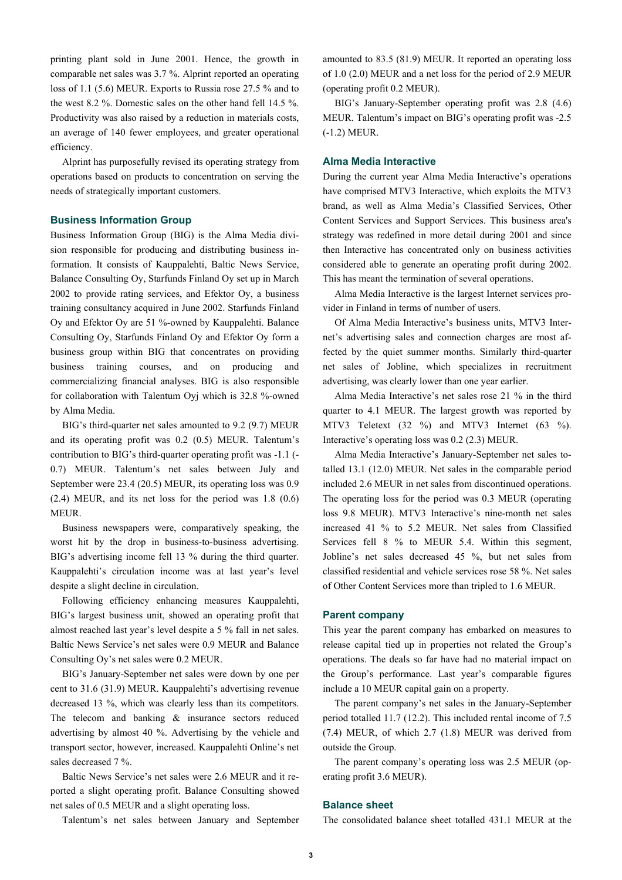printing plant sold in June 2001. Hence, the growth in comparable net sales was 3.7 %. Alprint reported an operating loss of 1.1 (5.6) MEUR. Exports to Russia rose 27.5 % and to the west 8.2 %. Domestic sales on the other hand fell 14.5 %. Productivity was also raised by a reduction in materials costs, an average of 140 fewer employees, and greater operational efficiency.

Alprint has purposefully revised its operating strategy from operations based on products to concentration on serving the needs of strategically important customers.

#### **Business Information Group**

Business Information Group (BIG) is the Alma Media division responsible for producing and distributing business information. It consists of Kauppalehti, Baltic News Service, Balance Consulting Oy, Starfunds Finland Oy set up in March 2002 to provide rating services, and Efektor Oy, a business training consultancy acquired in June 2002. Starfunds Finland Oy and Efektor Oy are 51 %-owned by Kauppalehti. Balance Consulting Oy, Starfunds Finland Oy and Efektor Oy form a business group within BIG that concentrates on providing business training courses, and on producing and commercializing financial analyses. BIG is also responsible for collaboration with Talentum Oyj which is 32.8 %-owned by Alma Media.

BIG's third-quarter net sales amounted to 9.2 (9.7) MEUR and its operating profit was 0.2 (0.5) MEUR. Talentum's contribution to BIG's third-quarter operating profit was -1.1 (- 0.7) MEUR. Talentum's net sales between July and September were 23.4 (20.5) MEUR, its operating loss was 0.9 (2.4) MEUR, and its net loss for the period was 1.8 (0.6) MEUR.

Business newspapers were, comparatively speaking, the worst hit by the drop in business-to-business advertising. BIG's advertising income fell 13 % during the third quarter. Kauppalehti's circulation income was at last year's level despite a slight decline in circulation.

Following efficiency enhancing measures Kauppalehti, BIG's largest business unit, showed an operating profit that almost reached last year's level despite a 5 % fall in net sales. Baltic News Service's net sales were 0.9 MEUR and Balance Consulting Oy's net sales were 0.2 MEUR.

BIG's January-September net sales were down by one per cent to 31.6 (31.9) MEUR. Kauppalehti's advertising revenue decreased 13 %, which was clearly less than its competitors. The telecom and banking & insurance sectors reduced advertising by almost 40 %. Advertising by the vehicle and transport sector, however, increased. Kauppalehti Online's net sales decreased 7 %.

Baltic News Service's net sales were 2.6 MEUR and it reported a slight operating profit. Balance Consulting showed net sales of 0.5 MEUR and a slight operating loss.

Talentum's net sales between January and September

amounted to 83.5 (81.9) MEUR. It reported an operating loss of 1.0 (2.0) MEUR and a net loss for the period of 2.9 MEUR (operating profit 0.2 MEUR).

BIG's January-September operating profit was 2.8 (4.6) MEUR. Talentum's impact on BIG's operating profit was -2.5 (-1.2) MEUR.

#### **Alma Media Interactive**

During the current year Alma Media Interactive's operations have comprised MTV3 Interactive, which exploits the MTV3 brand, as well as Alma Media's Classified Services, Other Content Services and Support Services. This business area's strategy was redefined in more detail during 2001 and since then Interactive has concentrated only on business activities considered able to generate an operating profit during 2002. This has meant the termination of several operations.

Alma Media Interactive is the largest Internet services provider in Finland in terms of number of users.

Of Alma Media Interactive's business units, MTV3 Internet's advertising sales and connection charges are most affected by the quiet summer months. Similarly third-quarter net sales of Jobline, which specializes in recruitment advertising, was clearly lower than one year earlier.

Alma Media Interactive's net sales rose 21 % in the third quarter to 4.1 MEUR. The largest growth was reported by MTV3 Teletext (32 %) and MTV3 Internet (63 %). Interactive's operating loss was 0.2 (2.3) MEUR.

Alma Media Interactive's January-September net sales totalled 13.1 (12.0) MEUR. Net sales in the comparable period included 2.6 MEUR in net sales from discontinued operations. The operating loss for the period was 0.3 MEUR (operating loss 9.8 MEUR). MTV3 Interactive's nine-month net sales increased 41 % to 5.2 MEUR. Net sales from Classified Services fell 8 % to MEUR 5.4. Within this segment, Jobline's net sales decreased 45 %, but net sales from classified residential and vehicle services rose 58 %. Net sales of Other Content Services more than tripled to 1.6 MEUR.

#### **Parent company**

This year the parent company has embarked on measures to release capital tied up in properties not related the Group's operations. The deals so far have had no material impact on the Group's performance. Last year's comparable figures include a 10 MEUR capital gain on a property.

The parent company's net sales in the January-September period totalled 11.7 (12.2). This included rental income of 7.5 (7.4) MEUR, of which 2.7 (1.8) MEUR was derived from outside the Group.

The parent company's operating loss was 2.5 MEUR (operating profit 3.6 MEUR).

## **Balance sheet**

The consolidated balance sheet totalled 431.1 MEUR at the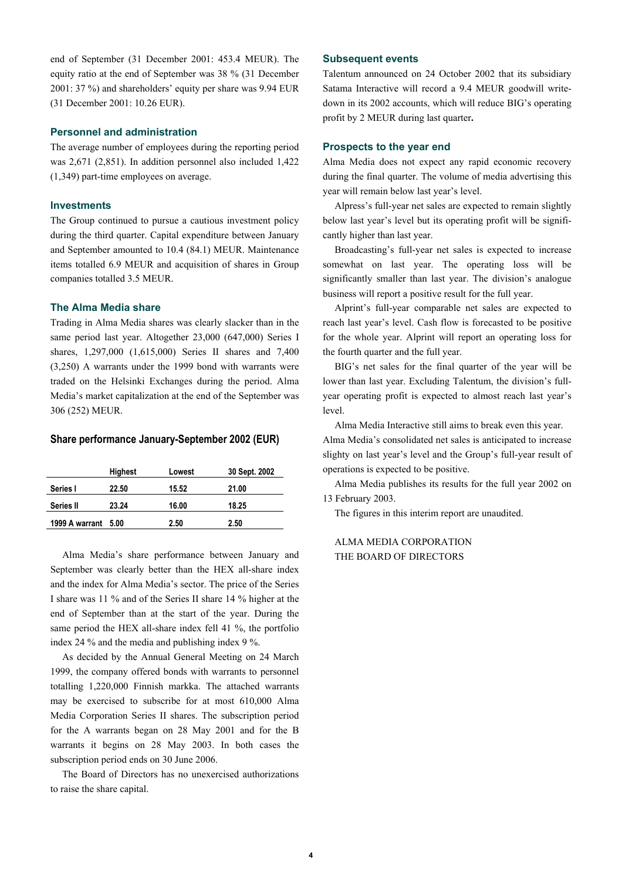end of September (31 December 2001: 453.4 MEUR). The equity ratio at the end of September was 38 % (31 December 2001: 37 %) and shareholders' equity per share was 9.94 EUR (31 December 2001: 10.26 EUR).

#### **Personnel and administration**

The average number of employees during the reporting period was 2,671 (2,851). In addition personnel also included 1,422 (1,349) part-time employees on average.

#### **Investments**

The Group continued to pursue a cautious investment policy during the third quarter. Capital expenditure between January and September amounted to 10.4 (84.1) MEUR. Maintenance items totalled 6.9 MEUR and acquisition of shares in Group companies totalled 3.5 MEUR.

#### **The Alma Media share**

Trading in Alma Media shares was clearly slacker than in the same period last year. Altogether 23,000 (647,000) Series I shares, 1,297,000 (1,615,000) Series II shares and 7,400 (3,250) A warrants under the 1999 bond with warrants were traded on the Helsinki Exchanges during the period. Alma Media's market capitalization at the end of the September was 306 (252) MEUR.

#### **Share performance January-September 2002 (EUR)**

|                     | <b>Highest</b> | Lowest | 30 Sept. 2002 |
|---------------------|----------------|--------|---------------|
| Series I            | 22.50          | 15.52  | 21.00         |
| <b>Series II</b>    | 23.24          | 16.00  | 18.25         |
| 1999 A warrant 5.00 |                | 2.50   | 2.50          |

Alma Media's share performance between January and September was clearly better than the HEX all-share index and the index for Alma Media's sector. The price of the Series I share was 11 % and of the Series II share 14 % higher at the end of September than at the start of the year. During the same period the HEX all-share index fell 41 %, the portfolio index 24 % and the media and publishing index 9 %.

As decided by the Annual General Meeting on 24 March 1999, the company offered bonds with warrants to personnel totalling 1,220,000 Finnish markka. The attached warrants may be exercised to subscribe for at most 610,000 Alma Media Corporation Series II shares. The subscription period for the A warrants began on 28 May 2001 and for the B warrants it begins on 28 May 2003. In both cases the subscription period ends on 30 June 2006.

The Board of Directors has no unexercised authorizations to raise the share capital.

#### **Subsequent events**

Talentum announced on 24 October 2002 that its subsidiary Satama Interactive will record a 9.4 MEUR goodwill writedown in its 2002 accounts, which will reduce BIG's operating profit by 2 MEUR during last quarter**.**

#### **Prospects to the year end**

Alma Media does not expect any rapid economic recovery during the final quarter. The volume of media advertising this year will remain below last year's level.

Alpress's full-year net sales are expected to remain slightly below last year's level but its operating profit will be significantly higher than last year.

Broadcasting's full-year net sales is expected to increase somewhat on last year. The operating loss will be significantly smaller than last year. The division's analogue business will report a positive result for the full year.

Alprint's full-year comparable net sales are expected to reach last year's level. Cash flow is forecasted to be positive for the whole year. Alprint will report an operating loss for the fourth quarter and the full year.

BIG's net sales for the final quarter of the year will be lower than last year. Excluding Talentum, the division's fullyear operating profit is expected to almost reach last year's level.

Alma Media Interactive still aims to break even this year. Alma Media's consolidated net sales is anticipated to increase slighty on last year's level and the Group's full-year result of operations is expected to be positive.

Alma Media publishes its results for the full year 2002 on 13 February 2003.

The figures in this interim report are unaudited.

## ALMA MEDIA CORPORATION THE BOARD OF DIRECTORS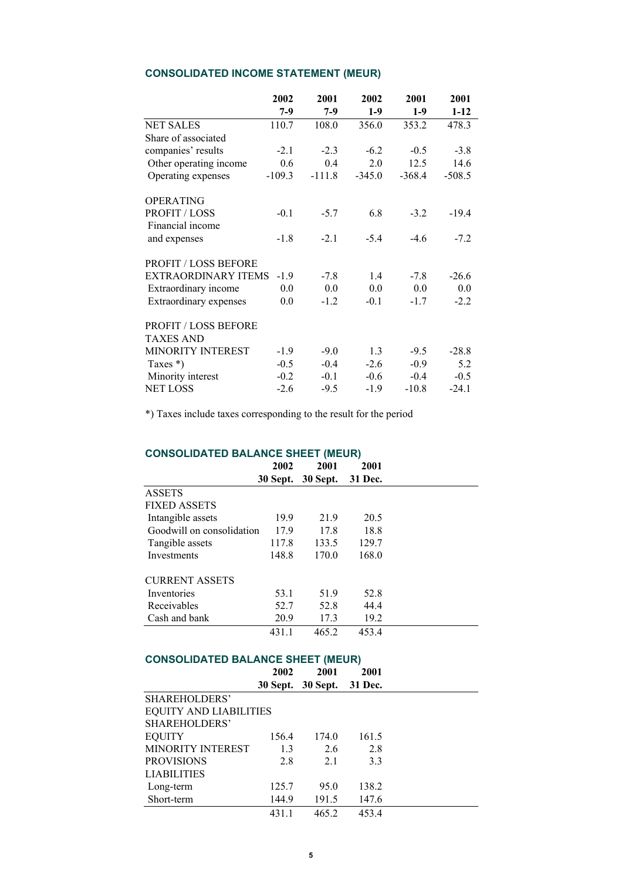# **CONSOLIDATED INCOME STATEMENT (MEUR)**

|                             | 2002     | 2001     | 2002     | 2001     | 2001     |
|-----------------------------|----------|----------|----------|----------|----------|
|                             | 7-9      | $7-9$    | $1-9$    | $1-9$    | $1 - 12$ |
| <b>NET SALES</b>            | 110.7    | 108.0    | 356.0    | 353.2    | 478.3    |
| Share of associated         |          |          |          |          |          |
| companies' results          | $-2.1$   | $-2.3$   | $-6.2$   | $-0.5$   | $-3.8$   |
| Other operating income      | 0.6      | 0.4      | 2.0      | 12.5     | 14.6     |
| Operating expenses          | $-109.3$ | $-111.8$ | $-345.0$ | $-368.4$ | $-508.5$ |
| <b>OPERATING</b>            |          |          |          |          |          |
| PROFIT / LOSS               | $-0.1$   | $-5.7$   | 6.8      | $-3.2$   | $-19.4$  |
| Financial income            |          |          |          |          |          |
| and expenses                | $-1.8$   | $-2.1$   | $-5.4$   | $-4.6$   | $-7.2$   |
| <b>PROFIT / LOSS BEFORE</b> |          |          |          |          |          |
| <b>EXTRAORDINARY ITEMS</b>  | $-1.9$   | $-7.8$   | 1.4      | $-7.8$   | $-26.6$  |
| Extraordinary income        | 0.0      | 0.0      | 0.0      | 0.0      | 0.0      |
| Extraordinary expenses      | 0.0      | $-1.2$   | $-0.1$   | $-1.7$   | $-2.2$   |
| <b>PROFIT / LOSS BEFORE</b> |          |          |          |          |          |
| <b>TAXES AND</b>            |          |          |          |          |          |
| <b>MINORITY INTEREST</b>    | $-1.9$   | $-9.0$   | 1.3      | $-9.5$   | $-28.8$  |
| Taxes $*$ )                 | $-0.5$   | $-0.4$   | $-2.6$   | $-0.9$   | 5.2      |
| Minority interest           | $-0.2$   | $-0.1$   | $-0.6$   | $-0.4$   | $-0.5$   |
| <b>NET LOSS</b>             | $-2.6$   | $-9.5$   | $-1.9$   | $-10.8$  | $-24.1$  |

\*) Taxes include taxes corresponding to the result for the period

# **CONSOLIDATED BALANCE SHEET (MEUR)**

|                           | 2002            | 2001            | 2001    |  |
|---------------------------|-----------------|-----------------|---------|--|
|                           | <b>30 Sept.</b> | <b>30 Sept.</b> | 31 Dec. |  |
| <b>ASSETS</b>             |                 |                 |         |  |
| <b>FIXED ASSETS</b>       |                 |                 |         |  |
| Intangible assets         | 19.9            | 21.9            | 20.5    |  |
| Goodwill on consolidation | 17.9            | 17.8            | 18.8    |  |
| Tangible assets           | 117.8           | 133.5           | 129.7   |  |
| Investments               | 148.8           | 170.0           | 168.0   |  |
| <b>CURRENT ASSETS</b>     |                 |                 |         |  |
| Inventories               | 53.1            | 51.9            | 52.8    |  |
| Receivables               | 52.7            | 52.8            | 44.4    |  |
| Cash and bank             | 20.9            | 17.3            | 19.2    |  |
|                           | 431.1           | 465.2           | 453.4   |  |

# **CONSOLIDATED BALANCE SHEET (MEUR)**

|                               | 2002  | 2001              | 2001    |
|-------------------------------|-------|-------------------|---------|
|                               |       | 30 Sept. 30 Sept. | 31 Dec. |
| SHAREHOLDERS'                 |       |                   |         |
| <b>EQUITY AND LIABILITIES</b> |       |                   |         |
| SHAREHOLDERS'                 |       |                   |         |
| <b>EQUITY</b>                 | 156.4 | 174.0             | 161.5   |
| <b>MINORITY INTEREST</b>      | 1.3   | 2.6               | 2.8     |
| <b>PROVISIONS</b>             | 2.8   | 2.1               | 3.3     |
| <b>LIABILITIES</b>            |       |                   |         |
| Long-term                     | 125.7 | 95.0              | 138.2   |
| Short-term                    | 144.9 | 191.5             | 147.6   |
|                               | 431.1 | 465.2             | 453.4   |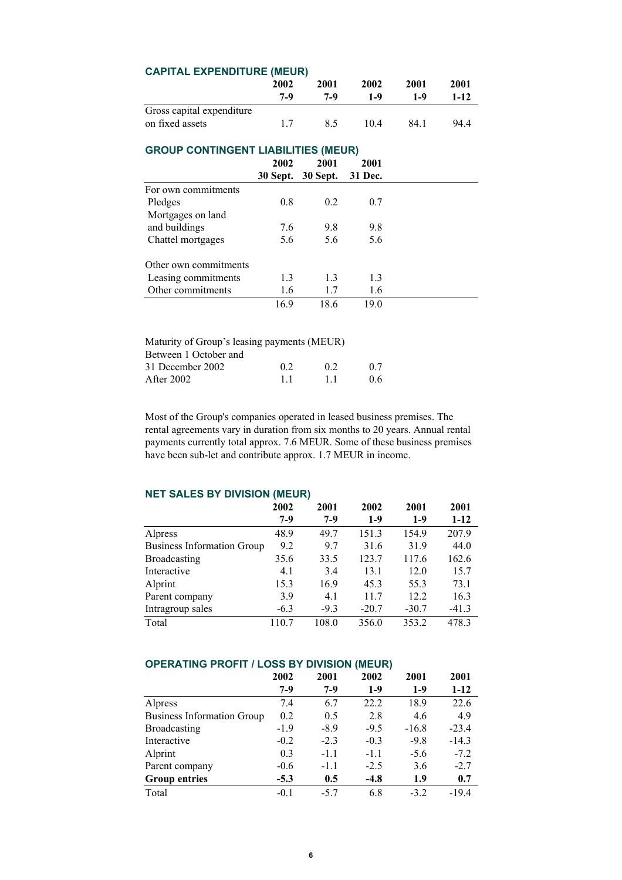| <b>CAPITAL EXPENDITURE (MEUR)</b>          |      |                   |         |       |          |
|--------------------------------------------|------|-------------------|---------|-------|----------|
|                                            | 2002 | 2001              | 2002    | 2001  | 2001     |
|                                            | 7-9  | 7-9               | $1-9$   | $1-9$ | $1 - 12$ |
| Gross capital expenditure                  |      |                   |         |       |          |
| on fixed assets                            | 1.7  | 8.5               | 10.4    | 84.1  | 94.4     |
| <b>GROUP CONTINGENT LIABILITIES (MEUR)</b> |      |                   |         |       |          |
|                                            | 2002 | 2001              | 2001    |       |          |
|                                            |      | 30 Sept. 30 Sept. | 31 Dec. |       |          |
| For own commitments                        |      |                   |         |       |          |
| Pledges                                    | 0.8  | 0.2               | 0.7     |       |          |
| Mortgages on land                          |      |                   |         |       |          |
| and buildings                              | 7.6  | 9.8               | 9.8     |       |          |
| Chattel mortgages                          | 5.6  | 5.6               | 5.6     |       |          |
| Other own commitments                      |      |                   |         |       |          |
| Leasing commitments                        | 1.3  | 1.3               | 1.3     |       |          |
| Other commitments                          | 1.6  | 1.7               | 1.6     |       |          |
|                                            | 16.9 | 18.6              | 19.0    |       |          |

| 02 | 02 | 0.7                                         |
|----|----|---------------------------------------------|
| 11 | 11 | 06                                          |
|    |    | Maturity of Group's leasing payments (MEUR) |

Most of the Group's companies operated in leased business premises. The rental agreements vary in duration from six months to 20 years. Annual rental payments currently total approx. 7.6 MEUR. Some of these business premises have been sub-let and contribute approx. 1.7 MEUR in income.

# **NET SALES BY DIVISION (MEUR)**

|                                   | 2002   | 2001   | 2002    | 2001    | 2001    |
|-----------------------------------|--------|--------|---------|---------|---------|
|                                   | $7-9$  | $7-9$  | $1-9$   | $1-9$   | $1-12$  |
| Alpress                           | 48.9   | 49.7   | 151.3   | 154.9   | 207.9   |
| <b>Business Information Group</b> | 9.2    | 9.7    | 31.6    | 31.9    | 44.0    |
| Broadcasting                      | 35.6   | 33.5   | 123.7   | 117.6   | 162.6   |
| Interactive                       | 4.1    | 3.4    | 13.1    | 12.0    | 15.7    |
| Alprint                           | 15.3   | 16.9   | 45.3    | 55.3    | 73.1    |
| Parent company                    | 3.9    | 4.1    | 11.7    | 12.2    | 16.3    |
| Intragroup sales                  | $-6.3$ | $-9.3$ | $-20.7$ | $-30.7$ | $-41.3$ |
| Total                             | 110.7  | 108.0  | 356.0   | 353.2   | 478.3   |

## **OPERATING PROFIT / LOSS BY DIVISION (MEUR)**

|                                   | 2002   | 2001   | 2002   | 2001    | 2001     |
|-----------------------------------|--------|--------|--------|---------|----------|
|                                   | $7-9$  | 7-9    | $1-9$  | $1-9$   | $1 - 12$ |
| Alpress                           | 7.4    | 6.7    | 22.2   | 18.9    | 22.6     |
| <b>Business Information Group</b> | 0.2    | 0.5    | 2.8    | 4.6     | 4.9      |
| <b>Broadcasting</b>               | $-1.9$ | $-8.9$ | $-9.5$ | $-16.8$ | $-23.4$  |
| Interactive                       | $-0.2$ | $-2.3$ | $-0.3$ | $-9.8$  | $-14.3$  |
| Alprint                           | 0.3    | $-1.1$ | $-1.1$ | $-5.6$  | $-7.2$   |
| Parent company                    | $-0.6$ | $-1.1$ | $-2.5$ | 3.6     | $-2.7$   |
| <b>Group entries</b>              | $-5.3$ | 0.5    | $-4.8$ | 1.9     | 0.7      |
| Total                             | $-0.1$ | $-5.7$ | 6.8    | $-3.2$  | $-19.4$  |